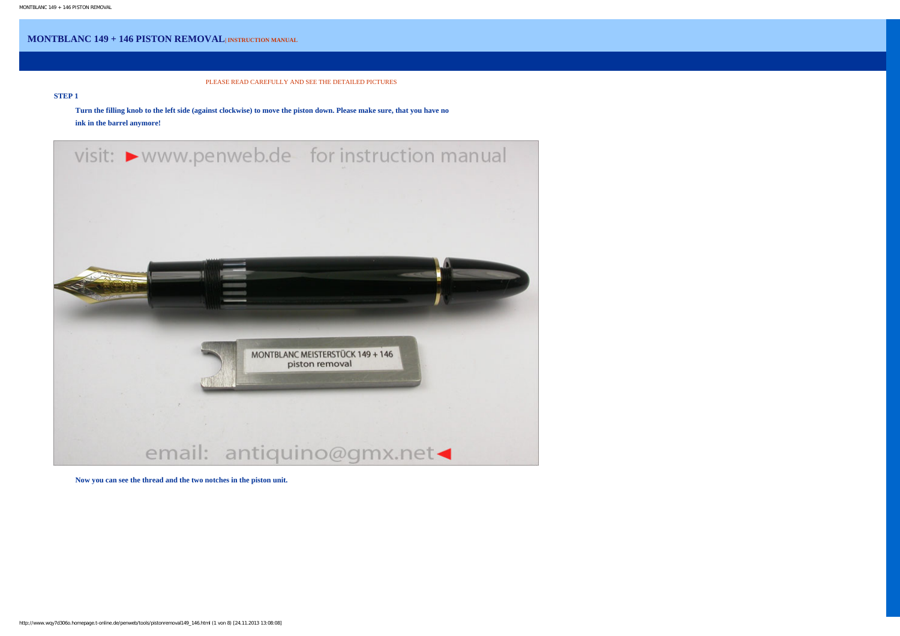## **MONTBLANC 149 + 146 PISTON REMOVAL| INSTRUCTION MANUAL**

PLEASE READ CAREFULLY AND SEE THE DETAILED PICTURES

## **STEP 1**

**Turn the filling knob to the left side (against clockwise) to move the piston down. Please make sure, that you have no ink in the barrel anymore!** 



**Now you can see the thread and the two notches in the piston unit.**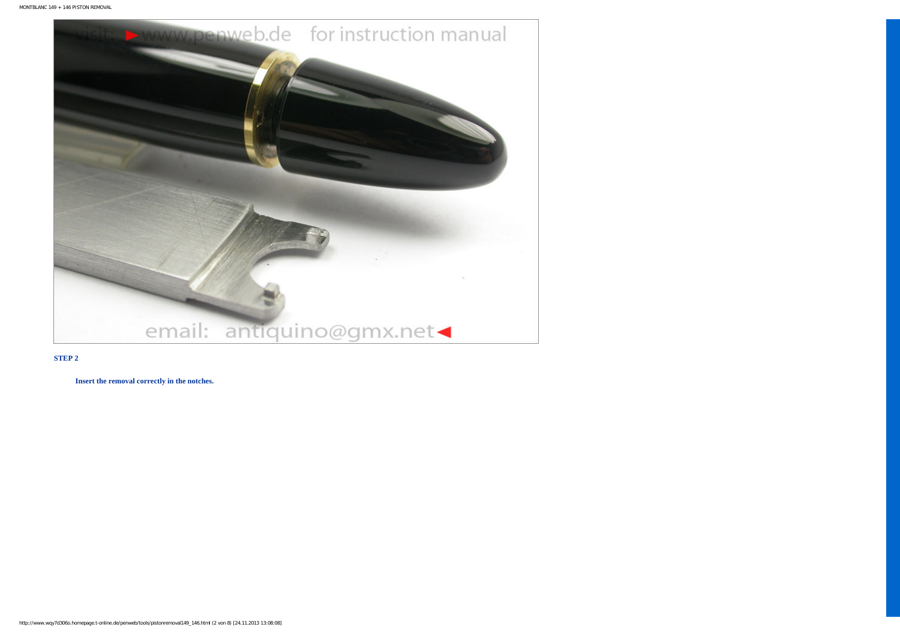

**Insert the removal correctly in the notches.**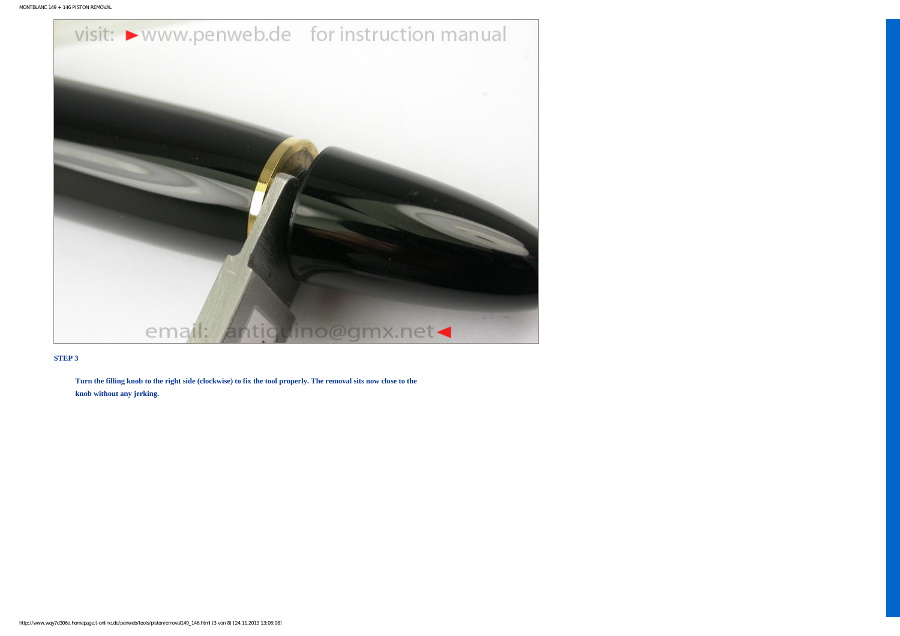

**Turn the filling knob to the right side (clockwise) to fix the tool properly. The removal sits now close to the knob without any jerking.**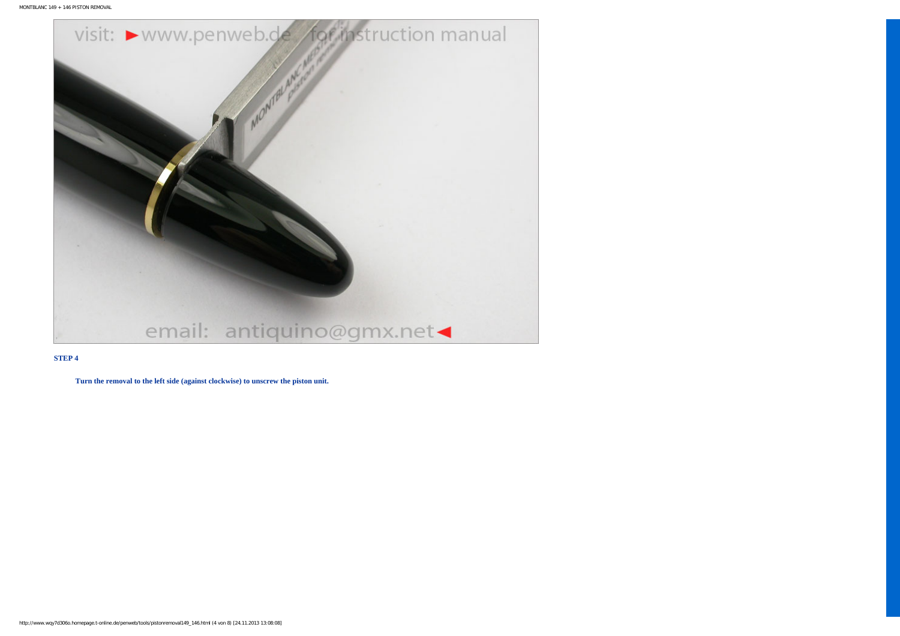

**Turn the removal to the left side (against clockwise) to unscrew the piston unit.**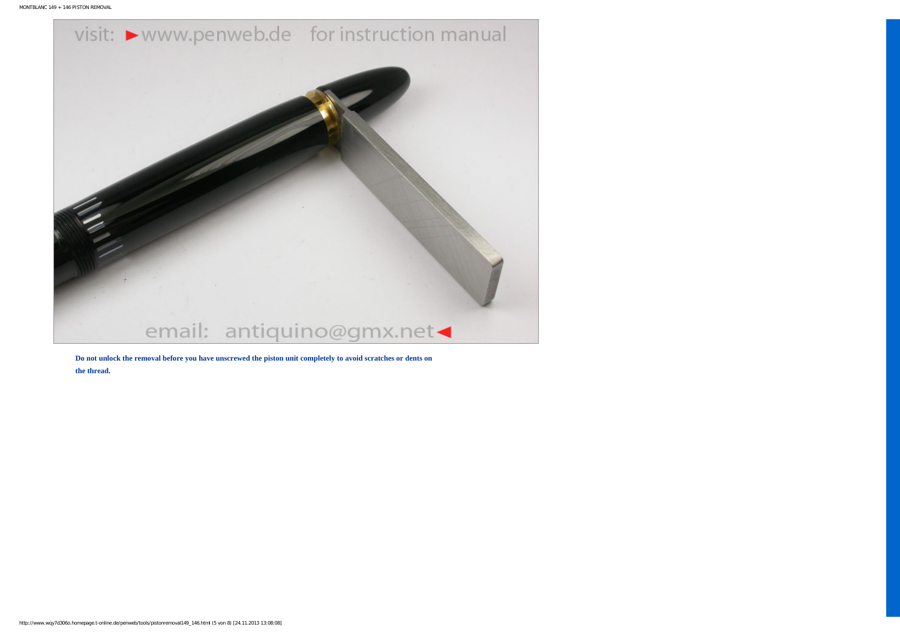

**Do not unlock the removal before you have unscrewed the piston unit completely to avoid scratches or dents on the thread.**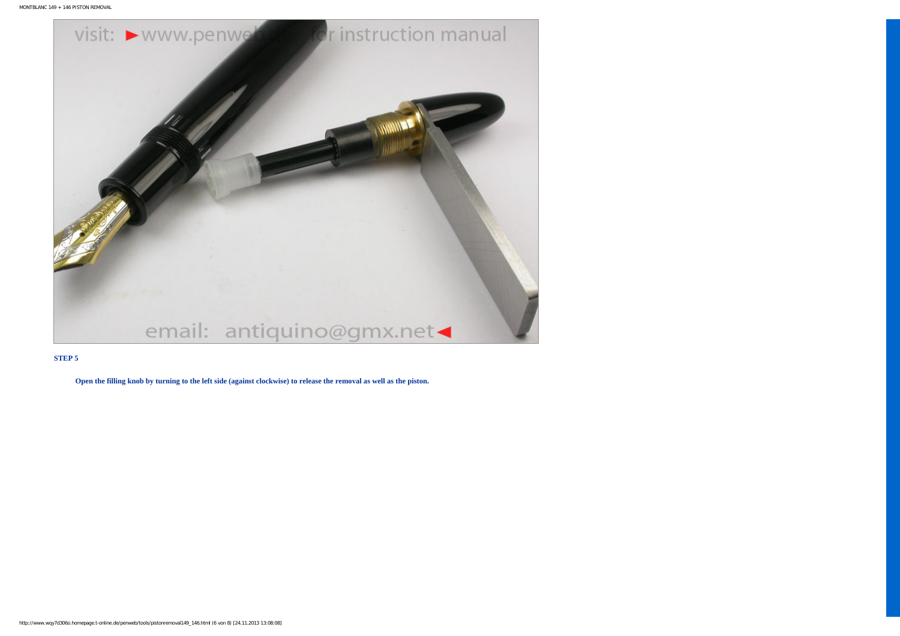

**Open the filling knob by turning to the left side (against clockwise) to release the removal as well as the piston.**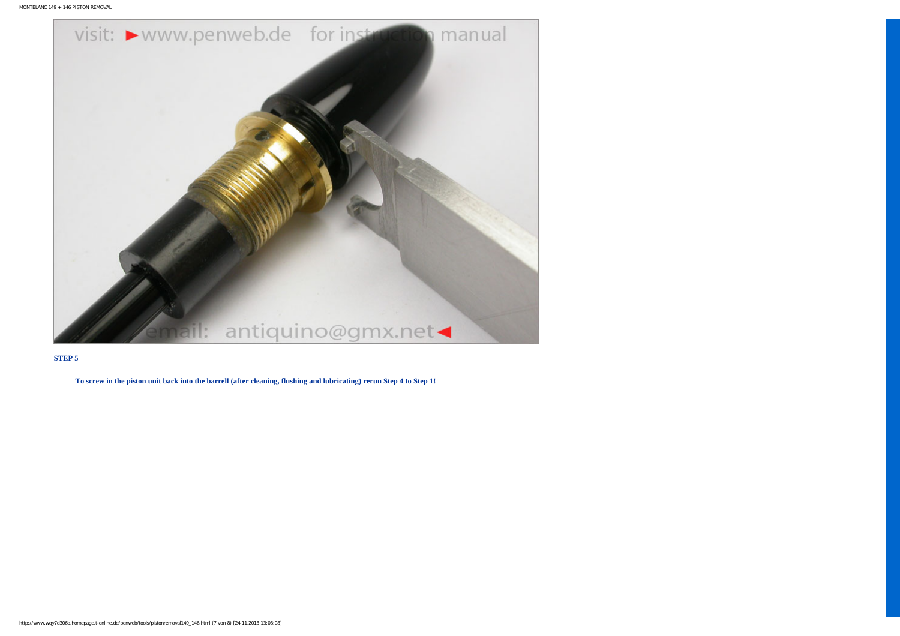```
MONTBLANC 149 + 146 PISTON REMOVAL
```


**To screw in the piston unit back into the barrell (after cleaning, flushing and lubricating) rerun Step 4 to Step 1!**